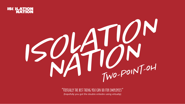### **"Virtually the best thing you can do for employees"**

(hopefully you got the double entedre using virtually)



# ISOLATION

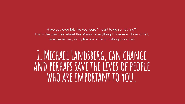Have you ever felt like you were "meant to do something?" That's the way I feel about this. Almost everything I have ever done, or felt, or experienced, in my life leads me to making this claim:

### **I, Michael Landsberg, can change and perhaps save the lives of people who are important to you.**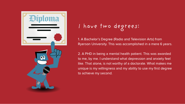1. A Bachelor's Degree (Radio and Television Arts) from Ryerson University. This was accomplished in a mere 6 years.

2. A PHD in being a mental health patient. This was awarded to me, by me. I understand what depression and anxiety feel like. That alone, is not worthy of a doctorate. What makes me unique is my willingness and my ability to use my first degree to achieve my second.



### I have two degrees: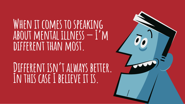### **When it comes to speaking about mental illness — I'm**  DIFFERENT THAN MOST.

DIFFERENT ISN'T ALWAYS BETTER. **In this case I believe it is.**

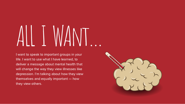# ALL I WAnt…

I want to speak to important groups in your life. I want to use what I have learned, to deliver a message about mental health that will change the way they view illnesses like depression. I'm talking about how they view themselves and equally important — how they view others.

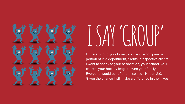I'm referring to your board, your entire company, a portion of it, a department, clients, prospective clients. I want to speak to your association, your school, your church, your hockey league, even your family. Everyone would benefit from Isolation Nation 2.0. Given the chance I will make a difference in their lives.

# I SAY 'GROUP'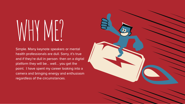Simple. Many keynote speakers or mental health professionals are dull. Sorry, it's true and if they're dull in person- then on a digital platform they will be… well… you get the point. I have spent my career looking into a camera and bringing energy and enthusiasm regardless of the circumstances.



# WHY ME?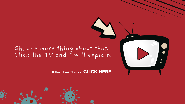

### Oh, one more thing about that. Click the TV and I will explain.

If that doesn't work, [CLICK HERE](https://drive.google.com/file/d/15UUg64qCHv4myLF8y9Vk9YD9ZQxpdsiG/view)



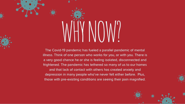The Covid-19 pandemic has fueled a parallel pandemic of mental illness. Think of one person who works for you, or with you. There is a very good chance he or she is feeling isolated, disconnected and frightened. The pandemic has tethered so many of us to our homes and that lack of contact with others has created anxiety and depression in many people who've never felt either before. Plus, those with pre-existing conditions are seeing their pain magnified.



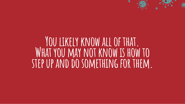### **You likely know all of that. What you may not know is how to step up and do something for them.**



※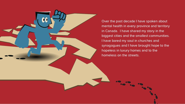

Over the past decade I have spoken about mental health in every province and territory in Canada. I have shared my story in the biggest cities and the smallest communities. I have bared my soul in churches and synagogues and I have brought hope to the hopeless in luxury homes and to the homeless on the streets.

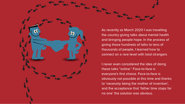As recently as March 2020 I was travelling the country giving talks about mental health and bringing people hope. In the process of giving those hundreds of talks to tens of thousands of people, I learned how to connect on a rare level with total strangers

I never even considered the idea of doing these talks "online." Face-to-face is everyone's first choice. Face-to-face is obviously not possible at this time and thanks to 'necessity being the mother of invention', and the acceptance that 'father time stops for no one' the solution was obvious.

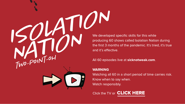and it's effective. ISOLATION<br>ISOLATION<br>Producing 60 shc

Watching all 60 in a short period of time carries risk. Know when to say when. Watch responsibly.

Click the TV or **[CLICK HERE](https://www.sicknotweak.com/category/isolation-nation/)** 

### We developed specific skills for this while producing 60 shows called Isolation Nation during the first 3 months of the pandemic. It's tried, it's true

### All 60 episodes live at sicknotweak.com.

### WARNING

TWO-POINT-OH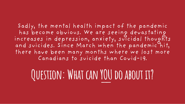### Sadly, the mental health impact of the pandemic has become obvious. We are seeing devastating increases in depression, anxiety, suicidal thoughts and suicides. Since March when the pandemic hit, there have been many months where we lost more Canadians to suicide than Covid-19.

### QUESTION: WHAT CAN YOU DO ABOUT IT?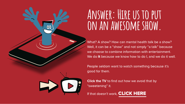

What? A show? How can mental health talk be a show? Well, it can be a "show" and not simply "a talk" because we choose to combine information with entertainment. We do it because we know how to do I, and we do it well.

**Click the TV** to find out how we avoid that by "sweetening" it.

If that doesn't work, [CLICK HERE](https://drive.google.com/file/d/1lHeBOYakbNQQzBsEuTkvsqIGzM8e6rjT/view?usp=sharing)

People seldom want to watch something because it's good for them.

### **Answer: Hire us to put on an awesome show.**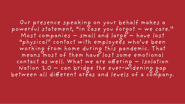Our presence speaking on your behalf makes a powerful statement, "in case you forgot – we care." Most companies – small and large – have lost "physical" contact with employees who've been working from home during this pandemic. That means most of them have lost some emotional contact as well. What we are offering – Isolation Nation 2.0 – can bridge the ever-widening gap between all different areas and levels of a company.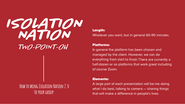### ISOLATION NATION TWO-POINT-OH

### **How to bring Isolation Nation 2.0 to your group A**<br>To your Group<br>To your Group

Length:

### Whatever you want, but in general 60-90 minutes.

### Platforms:

A large part of each presentation will be me doing what I do best, talking to camera - sharing things that will make a difference in people's lives.

In general the platform has been chosen and managed by the client. However, we can do everything from start to finish. There are currently a half-dozen or so platforms that work great including of course Zoom.

### Elements: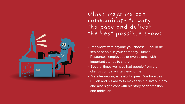- Interviews with anyone you choose could be senior people in your company, Human Resources, employees or even clients with important stories to share.
- Several times we have had people from the client's company interviewing me.
- Me interviewing a celebrity guest. We love Sean Cullen and his ability to make this fun, lively, funny and also significant with his story of depression and addiction.



Other ways we can communicate to vary the pace and deliver

## the best possible show: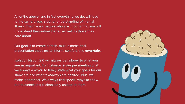All of the above, and in fact everything we do, will lead to the same place: a better understanding of mental illness. That means people who are important to you will understand themselves better, as well as those they care about.

Our goal is to create a fresh, multi-dimensional, presentation that aims to inform, comfort, and **entertain.** 

Isolation Nation 2.0 will always be tailored to what you see as important. For instance, in our pre meeting chat we always ask you to firmly state what your goals for our show are and what takeaways are desired. Plus, we make it personal. We always find special ways to show our audience this is absolutely unique to them.

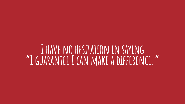### **I have no hesitation in saying "I guarantee I can make a dierence."**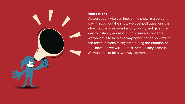

### Interaction:

Viewers you invite can impact the show in a personal way. Throughout the show we post poll questions that allow people to respond anonymously and give us a way to instantly address our audience's concerns. We want this to be a two-way conversation so viewers can text questions at any time during the duration of the show and we will address them as they come in. We want this to be a two-way conversation.